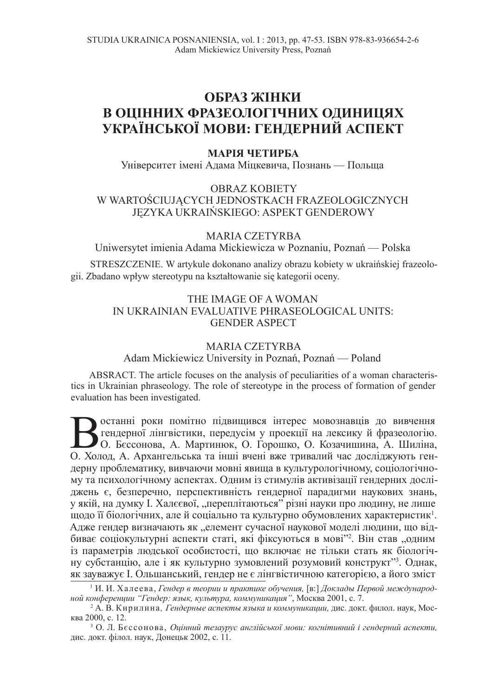# **ОБРАЗ ЖІНКИ В ОЦІННИХ ФРАЗЕОЛОГІЧНИХ ОДИНИЦЯХ** УКРАЇНСЬКОЇ МОВИ: ГЕНДЕРНИЙ АСПЕКТ

## **МАРІЯ ЧЕТИРБА**

Університет імені Адама Міцкевича, Познань — Польща

## OBRAZ KOBIETY W WARTOĝCIUJĄCYCH JEDNOSTKACH FRAZEOLOGICZNYCH JĘZYKA UKRAIŃSKIEGO: ASPEKT GENDEROWY

MARIA CZETYRBA

Uniwersytet imienia Adama Mickiewicza w Poznaniu, Poznań — Polska

STRESZCZENIE. W artykule dokonano analizy obrazu kobiety w ukraińskiej frazeologii. Zbadano wpływ stereotypu na kształtowanie się kategorii oceny.

# THE IMAGE OF A WOMAN IN UKRAINIAN EVALUATIVE PHRASEOLOGICAL UNITS: GENDER ASPECT

#### MARIA CZETYRBA

Adam Mickiewicz University in Poznań, Poznań — Poland

ABSRACT. The article focuses on the analysis of peculiarities of a woman characteristics in Ukrainian phraseology. The role of stereotype in the process of formation of gender evaluation has been investigated.

 $\overline{\mathbf{B}}$ останні роки помітно підвищився інтерес мовознавців до вивчення гендерної лінгвістики, передусім у проекції на лексику й фразеологію. О. Бессонова, А. Мартинюк, О. Горошко, О. Козачишина, А. Шиліна, О. Холод, А. Архангельська та інші вчені вже тривалий час досліджують гендерну проблематику, вивчаючи мовні явища в культурологічному, соціологічному та психологічному аспектах. Одним із стимулів активізації гендерних досліджень є, безперечно, перспективність гендерної парадигми наукових знань, у якій, на думку І. Халєєвої, "переплітаються" різні науки про людину, не лише щодо її біологічних, але й соціально та культурно обумовлених характеристик<sup>1</sup>. Адже гендер визначають як "елемент сучасної наукової моделі людини, що відбиває соціокультурні аспекти статі, які фіксуються в мові"<sup>2</sup>. Він став "одним із параметрів людської особистості, що включає не тільки стать як біологічну субстанцію, але і як культурно зумовлений розумовий конструкт"<sup>3</sup>. Однак, як зауважує І. Ольшанський, гендер не є лінгвістичною категорією, а його зміст

<sup>&</sup>lt;sup>1</sup> И. И. Халеева, Гендер в теории и практике обучения, [в:] Доклады Первой международ*ɧɨɣ ɤɨɧɮɟɪɟɧɰɢɢ "Ƚɟɧɞɟɪ: ɹɡɵɤ, ɤɭɥɶɬɭɪɚ, ɤɨɦɦɭɧɢɤɚɰɢɹ"*, Ɇɨɫɤɜɚ 2001, ɫ. 7.

<sup>&</sup>lt;sup>2</sup> А. В. Кирилина, Гендерные аспекты языка и коммуникации, дис. докт. филол. наук, Москва 2000, с. 12.

<sup>&</sup>lt;sup>3</sup> О. Л. Бєссонова, Оцінний тезаурус англійської мови: когнітивний і гендерний аспекти, дис. докт. філол. наук, Донецьк 2002, с. 11.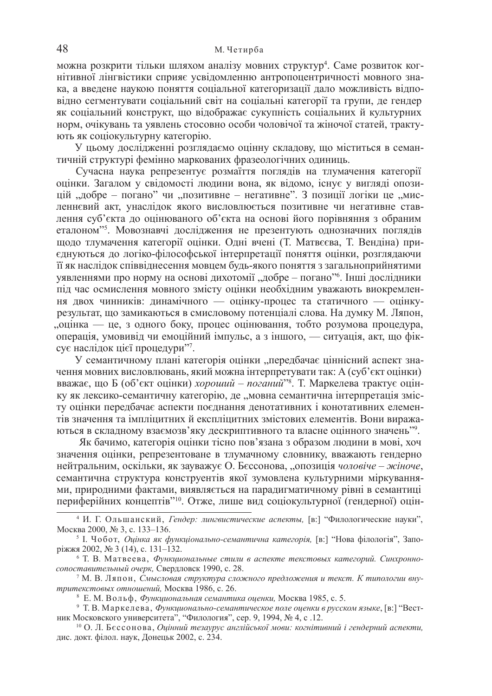можна розкрити тільки шляхом аналізу мовних структур<sup>4</sup>. Саме розвиток когнітивної лінгвістики сприяє усвідомленню антропоцентричності мовного знака, а введене наукою поняття соціальної категоризації дало можливість відповідно сегментувати соціальний світ на соціальні категорії та групи, де гендер як соціальний конструкт, що відображає сукупність соціальних й культурних норм, очікувань та уявлень стосовно особи чоловічої та жіночої статей, трактують як соціокультурну категорію.

У цьому дослідженні розглядаємо оцінну складову, що міститься в семантичній структурі фемінно маркованих фразеологічних одиниць.

Сучасна наука репрезентує розмаїття поглядів на тлумачення категорії оцінки. Загалом у свідомості людини вона, як відомо, існує у вигляді опозицій "добре – погано" чи "позитивне – негативне". З позиції логіки це "мисленнєвий акт, унаслідок якого висловлюється позитивне чи негативне ставлення суб'єкта до оцінюваного об'єкта на основі його порівняння з обраним еталоном"<sup>5</sup>. Мовознавчі дослідження не презентують однозначних поглядів щодо тлумачення категорії оцінки. Одні вчені (Т. Матвєєва, Т. Вендіна) приєднуються до логіко-філософської інтерпретації поняття оцінки, розглядаючи її як наслідок співвіднесення мовцем будь-якого поняття з загальноприйнятими уявленнями про норму на основі дихотомії "добре – погано"6. Інші дослідники під час осмислення мовного змісту оцінки необхідним уважають виокремлення двох чинників: динамічного — оцінку-процес та статичного — оцінкурезультат, що замикаються в смисловому потенціалі слова. На думку М. Ляпон, "оцінка — це, з одного боку, процес оцінювання, тобто розумова процедура, операція, умовивід чи емоційний імпульс, а з іншого, — ситуація, акт, що фіксує наслідок цієї процедури"7.

У семантичному плані категорія оцінки "передбачає ціннісний аспект значення мовних висловлювань, який можна інтерпретувати так: А (суб'єкт оцінки) вважає, що Б (об'єкт оцінки) *хороший – поганий*<sup>28</sup>. Т. Маркелева трактує оцінку як лексико-семантичну категорію, де "мовна семантична інтерпретація змісту оцінки передбачає аспекти поєднання денотативних і конотативних елементів значення та імпліцитних й експліцитних змістових елементів. Вони виражаються в складному взаємозв'яку дескриптивного та власне оцінного значень"<sup>9</sup>.

Як бачимо, категорія оцінки тісно пов'язана з образом людини в мові, хоч значення оцінки, репрезентоване в тлумачному словнику, вважають гендерно нейтральним, оскільки, як зауважує О. Бєссонова, "опозиція чоловіче – жіноче, семантична структура конструентів якої зумовлена культурними міркуваннями, природними фактами, виявляється на парадигматичному рівні в семантиці периферійних концептів"<sup>10</sup>. Отже, лише вид соціокультурної (гендерної) оцін-

<sup>&</sup>lt;sup>4</sup> И. Г. Ольшанский, Гендер: лингвистические аспекты, [в:] "Филологические науки", Москва 2000, № 3, с. 133–136.

<sup>&</sup>lt;sup>5</sup> І. Чобот, Оцінка як функціонально-семантична категорія, [в:] "Нова філологія", Запоріжжя 2002, № 3 (14), с. 131–132.

<sup>&</sup>lt;sup>6</sup> Т. В. Матвеева, Функциональные стили в аспекте текстовых категорий. Синхронно- $\alpha$ *conoставительный очерк*, Свердловск 1990, с. 28.

<sup>&</sup>lt;sup>7</sup> М. В. Ляпон, Смысловая структура сложного предложения и текст. К типологии внутритекстовых отношений, Москва 1986, с. 26.

<sup>&</sup>lt;sup>8</sup> Е.М. Вольф, *Функциональная семантика оценки*, Москва 1985, с. 5.

<sup>&</sup>lt;sup>9</sup> Т. В. Маркелева, *Функционально-семантическое поле оценки в русском языке*, [в:] "Вестник Московского университета", "Филология", сер. 9, 1994, № 4, с. 12.

<sup>&</sup>lt;sup>10</sup> О. Л. Бєссонова, Оцінний тезаурус англійської мови: когнітивний і гендерний аспекти, дис. докт. філол. наук, Донецьк 2002, с. 234.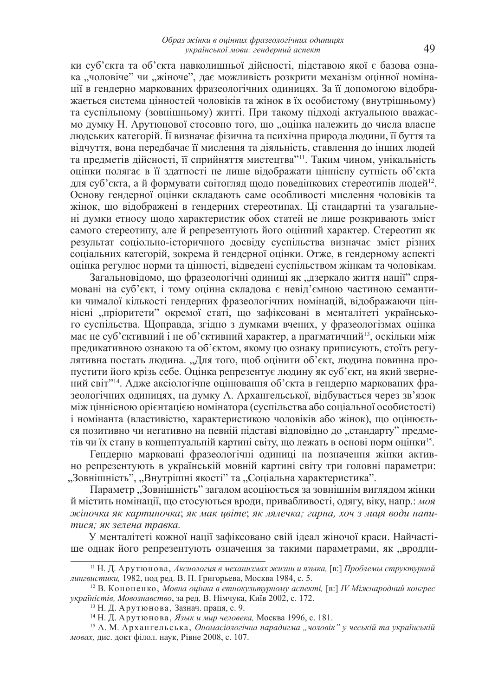ки суб'єкта та об'єкта навколишньої дійсності, підставою якої є базова ознака "чоловіче" чи "жіноче", дає можливість розкрити механізм оцінної номінації в гендерно маркованих фразеологічних одиницях. За її допомогою відображається система цінностей чоловіків та жінок в їх особистому (внутрішньому) та суспільному (зовнішньому) житті. При такому підході актуальною вважаємо думку Н. Арутюнової стосовно того, що "оцінка належить до числа власне людських категорій. Її визначає фізична та психічна природа людини, її буття та відчуття, вона передбачає її мислення та діяльність, ставлення до інших людей та предметів дійсності, її сприйняття мистецтва"<sup>11</sup>. Таким чином, унікальність оцінки полягає в її здатності не лише відображати ціннісну сутність об'єкта для суб'єкта, а й формувати світогляд щодо поведінкових стереотипів людей<sup>12</sup>. Основу гендерної оцінки складають саме особливості мислення чоловіків та жінок, що відображені в гендерних стереотипах. Ці стандартні та узагальнені думки етносу щодо характеристик обох статей не лише розкривають зміст самого стереотипу, але й репрезентують його оцінний характер. Стереотип як результат соціольно-історичного досвіду суспільства визначає зміст різних соціальних категорій, зокрема й гендерної оцінки. Отже, в гендерному аспекті оцінка регулює норми та цінності, відведені суспільством жінкам та чоловікам.

Загальновідомо, що фразеологічні одиниці як "дзеркало життя нації" спрямовані на суб'єкт, і тому оцінна складова є невід'ємною частиною семантики чималої кількості гендерних фразеологічних номінацій, відображаючи ціннісні "пріоритети" окремої статі, що зафіксовані в менталітеті українського суспільства. Щоправда, згідно з думками вчених, у фразеологізмах оцінка має не суб'єктивний і не об'єктивний характер, а прагматичний<sup>13</sup>, оскільки між предикативною ознакою та об'єктом, якому цю ознаку приписують, стоїть регулятивна постать людина. "Для того, щоб оцінити об'єкт, людина повинна пропустити його крізь себе. Оцінка репрезентує людину як суб'єкт, на який звернений світ"<sup>14</sup>. Адже аксіологічне оцінювання об'єкта в гендерно маркованих фразеологічних одиницях, на думку А. Архангельської, відбувається через зв'язок між ціннісною орієнтацією номінатора (суспільства або соціальної особистості) і номінанта (властивістю, характеристикою чоловіків або жінок), що оцінюється позитивно чи негативно на певній підставі відповідно до "стандарту" предметів чи їх стану в концептуальній картині світу, що лежать в основі норм оцінки<sup>15</sup>.

Гендерно марковані фразеологічні одиниці на позначення жінки активно репрезентують в українській мовній картині світу три головні параметри: "Зовнішність", "Внутрішні якості" та "Соціальна характеристика".

Параметр "Зовнішність" загалом асоціюється за зовнішнім виглядом жінки й містить номінації, що стосуються вроди, привабливості, одягу, віку, напр.: *моя*  $x^i$ идика як картиночка; як мак цвіте; як лялечка; гарна, хоч з лиця води напи $muc$ я: як зелена травка.

У менталітеті кожної нації зафіксовано свій ідеал жіночої краси. Найчастіше однак його репрезентують означення за такими параметрами, як "вродли-

<sup>&</sup>lt;sup>11</sup> Н. Д. Арутюнова, *Аксиология в механизмах жизни и языка*, [в:] *Проблемы структурной* дингвистики, 1982, под ред. В. П. Григорьева, Москва 1984, с. 5.

<sup>&</sup>lt;sup>12</sup> В. Кононенко, Мовна оцінка в етнокультурному аспекті, [в:] *IV Міжнародний конгрес ɭɤɪɚʀɧɿɫɬɿɜ, Ɇɨɜɨɡɧɚɜɫɬɜɨ*, ɡɚ ɪɟɞ. ȼ. ɇɿɦɱɭɤɚ, Ʉɢʀɜ 2002, ɫ. 172.

<sup>13</sup> Н. Д. Арутюнова, Зазнач. праця, с. 9.

<sup>&</sup>lt;sup>14</sup> Н. Д. Арутюнова, Язык и мир человека, Москва 1996, с. 181.

<sup>&</sup>lt;sup>15</sup> А. М. Архангельська, Ономасіологічна парадигма "чоловік" у чеській та українській *мовах*, дис. докт філол. наук, Рівне 2008, с. 107.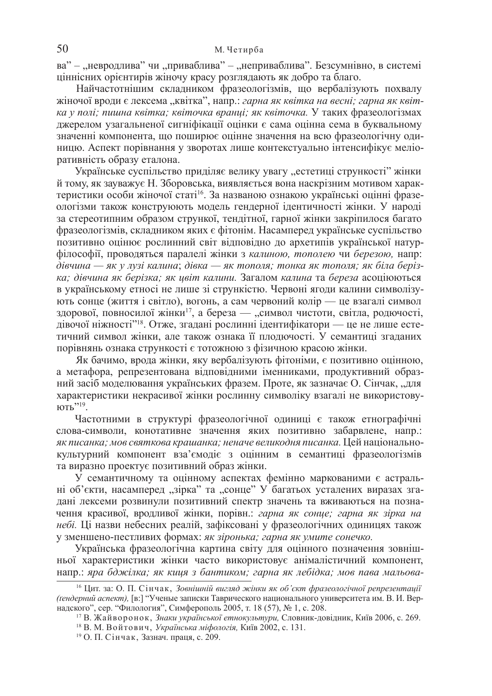ва" – "невродлива" чи "приваблива" – "неприваблива". Безсумнівно, в системі ціннісних орієнтирів жіночу красу розглядають як добро та благо.

Найчастотнішим складником фразеологізмів, що вербалізують похвалу жіночої вроди є лексема "квітка", напр.: гарна як квітка на весні; гарна як квіт*ка у полі; пишна квітка; квіточка вранці; як квіточка.* У таких фразеологізмах джерелом узагальненої сигніфікації оцінки є сама оцінна сема в буквальному значенні компонента, що поширює оцінне значення на всю фразеологічну одиницю. Аспект порівнання у зворотах лише контекстуально інтенсифікує меліоративність образу еталона.

Українське суспільство приділяє велику увагу "естетиці стрункості" жінки й тому, як зауважує Н. Зборовська, виявляється вона наскрізним мотивом характеристики особи жіночої статі<sup>16</sup>. За названою ознакою українські оцінні фразеологізми також конструюють модель гендерної ідентичності жінки. У народі за стереотипним образом стрункої, тендітної, гарної жінки закріпилося багато фразеологізмів, складником яких є фітонім. Насамперед українське суспільство позитивно оцінює рослинний світ відповідно до архетипів української натурфілософії, проводяться паралелі жінки з калиною, тополею чи березою, напр:  $\delta$ иєчина — як у лузі калина, дівка — як тополя; тонка як тополя; як біла берізка; дівчина як берізка; як ивіт калини. Загалом калина та береза асоціюються в українському етносі не лише зі стрункістю. Червоні ягоди калини символізують сонце (життя і світло), вогонь, а сам червоний колір — це взагалі символ здорової, повносилої жінки<sup>17</sup>, а береза — "символ чистоти, світла, родючості, дівочої ніжності"<sup>18</sup>. Отже, згадані рослинні ідентифікатори — це не лише естетичний символ жінки, але також ознака її плодючості. У семантиці згаданих порівнянь ознака стрункості є тотожною з фізичною красою жінки.

Як бачимо, врода жінки, яку вербалізують фітоніми, є позитивно оцінною, а метафора, репрезентована відповідними іменниками, продуктивний образний засіб моделювання українських фразем. Проте, як зазначає О. Сінчак, "для характеристики некрасивої жінки рослинну символіку взагалі не використовують"<sup>19</sup>.

Частотними в структурі фразеологічної одиниці є також етнографічні слова-символи, конотативне значення яких позитивно забарвлене, напр.: як писанка; мов святкова крашанка; неначе великодня писанка. Цей національнокультурний компонент вза'ємодіє з оцінним в семантиці фразеологізмів та виразно проектує позитивний образ жінки.

У семантичному та оцінному аспектах фемінно маркованими є астральні об'єкти, насамперед "зірка" та "сонце" У багатьох усталених виразах згадані лексеми розвинули позитивний спектр значень та вживаються на позначення красивої, вродливої жінки, порівн.: *гарна як сонце; гарна як зірка на* небі. Ці назви небесних реалій, зафіксовані у фразеологічних одиницях також у зменшено-пестливих формах: як зіронька; гарна як умите сонечко.

Українська фразеологічна картина світу для оцінного позначення зовнішньої характеристики жінки часто використовує анімалістичний компонент, напр.: яра бджілка; як киця з бантиком; гарна як лебідка; мов пава мальова-

<sup>&</sup>lt;sup>16</sup> Цит. за: О. П. Сінчак, Зовнішній вигляд жінки як об'єкт фразеологічної репрезентації *(тендерний аспект)*, [в:] "Ученые записки Таврического национального университета им. В. И. Вернадского", сер. "Филология", Симферополь 2005, т. 18 (57), № 1, с. 208.

<sup>&</sup>lt;sup>17</sup> В. Жайворонок, Знаки української етнокультури, Словник-довідник, Київ 2006, с. 269.

<sup>&</sup>lt;sup>18</sup> В. М. Войтович, Українська міфологія, Київ 2002, с. 131.

<sup>19</sup> О. П. Сінчак, Зазнач. праця, с. 209.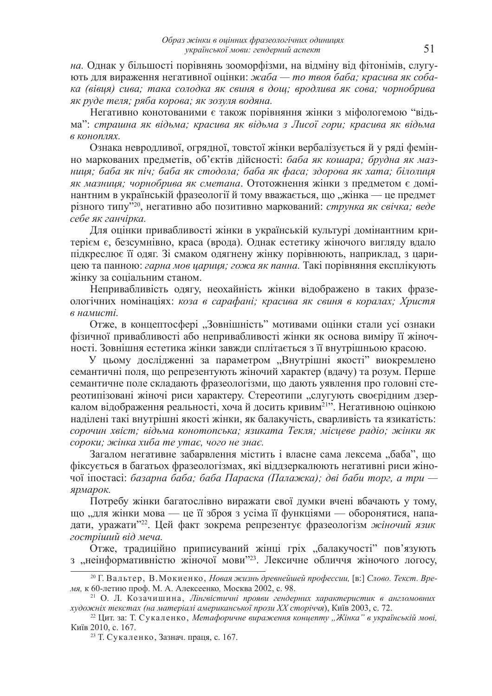*на*. Однак у більшості порівнянь зооморфізми, на відміну від фітонімів, слугують для вираження негативної оцінки: жаба — то твоя баба; красива як соба*ка* (*вівця*) сива; така солодка як свиня в дощ; вродлива як сова; чорнобрива  $\alpha$ к руде теля; ряба корова; як зозуля водяна.

Негативно конотованими є також порівняння жінки з міфологемою "відьма": *страшна як відьма: красива як відьма з Лисої гори; красива як відьма*  $B$  *<i>к юноплях*.

Ознака невродливої, огрядної, товстої жінки вербалізується й у ряді фемінно маркованих предметів, об'єктів дійсності: баба як кошара; брудна як маз*ниця; баба як піч; баба як стодола; баба як фаса; здорова як хата; білолиця* як мазниця; чорнобрива як сметана. Ототожнення жінки з предметом є домінантним в українській фразеології й тому вважається, що "жінка — це предмет різного типу"<sup>20</sup>, негативно або позитивно маркований: *струнка як свічка; веде*  $ce$ бе як ганчірка.

Для оцінки привабливості жінки в українській культурі домінантним критерієм є, безсумнівно, краса (врода). Однак естетику жіночого вигляду вдало підкреслює її одяг. Зі смаком одягнену жінку порівнюють, наприклад, з царицею та панною: гарна мов цариця; гожа як панна. Такі порівняння експлікують жінку за соціальним станом.

Непривабливість одягу, неохайність жінки відображено в таких фразе**ологічних номінаціях:** *коза в сарафані; красива як свиня в коралах; Христя*  $\boldsymbol{\kappa}$  *намисті*.

Отже, в концептосфері "Зовнішність" мотивами оцінки стали усі ознаки фізичної привабливості або непривабливості жінки як основа виміру її жіночності. Зовнішня естетика жінки завжди сплітається з її внутрішньою красою.

У цьому дослідженні за параметром "Внутрішні якості" виокремлено семантичні поля, що репрезентують жіночий характер (вдачу) та розум. Перше семантичне поле складають фразеологізми, що дають уявлення про головні стереотипізовані жіночі риси характеру. Стереотипи "слугують своєрідним дзеркалом відображення реальності, хоча й досить кривим<sup>21</sup>". Негативною оцінкою наділені такі внутрішні якості жінки, як балакучість, сварливість та язикатість:  $\alpha$ еорочин хвіст; відьма конотопська; язиката Текля; місиеве радіо; жінки як  $\alpha$ ороки: жінка хиба те утає, чого не знає.

Загалом негативне забарвлення містить і власне сама лексема "баба", що фіксується в багатьох фразеологізмах, які віллзеркалюють негативні риси жіночої іпостасі: *базарна баба; баба Параска (Палажка); дві баби торг, а три*  $$ 

Потребу жінки багатослівно виражати свої думки вчені вбачають у тому, що "для жінки мова — це її зброя з усіма її функціями — оборонятися, нападати, уражати<sup>222</sup>. Цей факт зокрема репрезентує фразеологізм *жіночий язик*  $20$ стріший від меча.

Отже, традиційно приписуваний жінці гріх "балакучості" пов'язують з "неінформативністю жіночої мови"<sup>23</sup>. Лексичне обличчя жіночого логосу,

<sup>&</sup>lt;sup>20</sup> Г. Вальтер, В. Мокиенко, *Новая жизнь древнейшей профессии*, [в:] *Слово. Текст. Время*, к 60-летию проф. М. А. Алексеенко, Москва 2002, с. 98.

<sup>&</sup>lt;sup>21</sup> О. Л. Козачишина, Лінгвістичні прояви гендерних характеристик в англомовних  $xy$ дожніх текстах (на матеріалі американської прози XX сторіччя), Київ 2003, с. 72.

<sup>&</sup>lt;sup>22</sup> Цит. за: Т. Сукаленко, *Метафоричне вираження концепту*, Жінка" в українській мові, Київ 2010, с. 167.

<sup>&</sup>lt;sup>23</sup> Т. Сукаленко, Зазнач. праця, с. 167.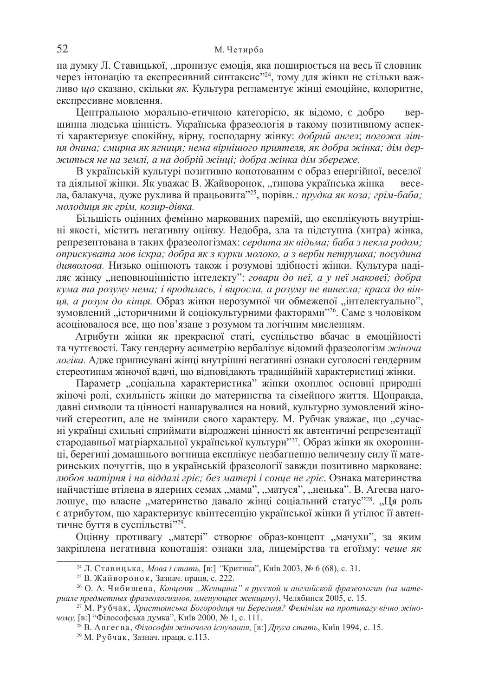### 52 M. Четирба

на думку Л. Ставицької, "пронизує емоція, яка поширюється на весь її словник через інтонацію та експресивний синтаксис"<sup>24</sup>, тому для жінки не стільки важливо *що* сказано, скільки як. Культура регламентує жінці емоційне, колоритне, експресивне мовлення.

Центральною морально-етичною категорією, як відомо, є добро — вершинна людська цінність. Українська фразеологія в такому позитивному аспекті характеризує спокійну, вірну, господарну жінку: добрий ангел; погожа літ*ня днина; смирна як ягниця; нема вірнішого приятеля, як добра жінка; дім дер* $x$ ниться не на землі, а на добрій жінці; добра жінка дім збереже.

В українській культурі позитивно конотованим є образ енергійної, веселої та діяльної жінки. Як уважає В. Жайворонок, "типова українська жінка — весела, балакуча, дуже рухлива й працьовита"<sup>25</sup>, порівн.: прудка як коза; грім-баба; *молодиця як грім, козир-дівка.* 

Більшість оцінних фемінно маркованих паремій, що експлікують внутрішні якості, містить негативну оцінку. Недобра, зла та підступна (хитра) жінка, репрезентована в таких фразеологізмах: сердита як відьма; баба з пекла родом;  $\alpha$ рискувата мов іскра; добра як з курки молоко, а з верби петрушка; посудина дияволова. Низько оцінюють також і розумові здібності жінки. Культура наділяє жінку "неповноцінністю інтелекту": говари до неї, а у неї маковеї; добра *кума та розуму нема; і вродилась, і виросла, а розуму не винесла; краса до віния, а розум до кінця*. Образ жінки нерозумної чи обмеженої "інтелектуально", зумовлений "історичними й соціокультурними факторами"26. Саме з чоловіком асоціювалося все, що пов'язане з розумом та логічним мисленням.

Атрибути жінки як прекрасної статі, суспільство вбачає в емоційності та чуттєвості. Таку гендерну асиметрію вербалізує відомий фразеологізм жіноча логіка. Адже приписувані жінці внутрішні негативні ознаки суголосні гендерним стереотипам жіночої вдачі, що відповідають традиційній характеристиці жінки.

Параметр "соціальна характеристика" жінки охоплює основні природні жіночі ролі, схильність жінки до материнства та сімейного життя. Щоправда, давні символи та цінності нашарувалися на новий, культурно зумовлений жіночий стереотип, але не змінили свого характеру. М. Рубчак уважає, що "сучасні українці схильні сприймати відроджені цінності як автентичні репрезентації стародавньої матріархальної української культури"<sup>27</sup>. Образ жінки як охоронниці, берегині домашнього вогнища експлікує незбагненно величезну силу її материнських почуттів, що в українській фразеології завжди позитивно марковане:  $\dot{i}$  *любов матірня і на віддалі гріє; без матері і сонце не гріє.* Ознака материнства найчастіше втілена в ядерних семах "мама", "матуся", "ненька". В. Агеєва наголошує, що власне "материнство давало жінці соціальний статус"<sup>28</sup>. "Ця роль є атрибутом, що характеризує квінтесенцію української жінки й утілює її автентичне буття в суспільстві"<sup>29</sup>.

Оцінну противагу "матері" створює образ-концепт "мачухи", за яким закріплена негативна конотація: ознаки зла, лицемірства та егоїзму: чеше як

<sup>&</sup>lt;sup>24</sup> Л. Ставицька, *Мова і стать*, [в:] "Критика", Київ 2003, № 6 (68), с. 31.

<sup>&</sup>lt;sup>25</sup> В. Жайворонок, Зазнач. праця, с. 222.

<sup>&</sup>lt;sup>26</sup> О. А. Чибишева, Концепт, Женщина" в русской и английской фразеологии (на мате*puaле предметных фразеологизмов, именующих женщину)*, Челябинск 2005, с. 15.

<sup>&</sup>lt;sup>27</sup> М. Рубчак, *Християнська Богородиця чи Берегиня? Фемінізм на противагу вічно жіночому*, [в:] "Філософська думка", Київ 2000, № 1, с. 111.

<sup>&</sup>lt;sup>28</sup> В. Авгеєва, Філософія жіночого існування, [в:] Друга стать, Київ 1994, с. 15.

<sup>&</sup>lt;sup>29</sup> М. Рубчак, Зазнач. праця, с.113.